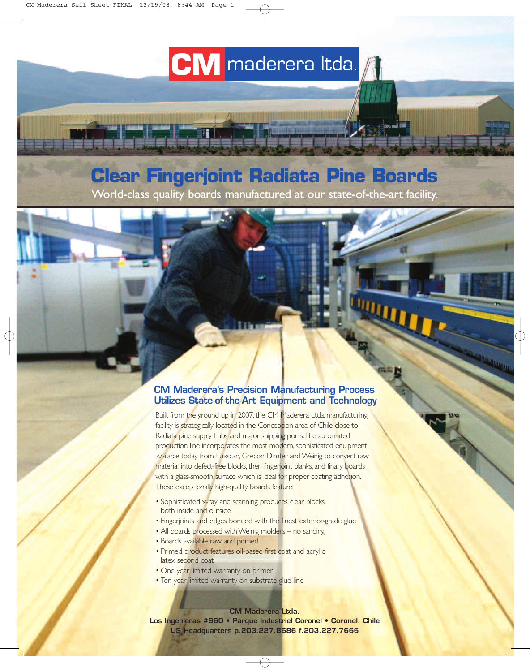# **CM** maderera Itda.

## **Clear Fingerjoint Radiata Pine Boards**

World-class quality boards manufactured at our state-of-the-art facility.

#### **CM Maderera's Precision Manufacturing Process Utilizes State-of-the-Art Equipment and Technology**

**WUTTER** 

Built from the ground up in 2007, the CM Maderera Ltda. manufacturing facility is strategically located in the Concepcion area of Chile close to Radiata pine supply hubs and major shipping ports. The automated production line incorporates the most modern, sophisticated equipment available today from Luxscan, Grecon Dimter and Weinig to convert raw material into defect-free blocks, then fingerjoint blanks, and finally boards with a glass-smooth surface which is ideal for proper coating adhesion. These exceptionally high-quality boards feature;

- Sophisticated x-ray and scanning produces clear blocks, both inside and outside
- Fingerjoints and edges bonded with the finest exterior-grade glue
- All boards processed with Weinig molders no sanding
- Boards available raw and primed
- Primed product features oil-based first coat and acrylic latex second coat
- One year limited warranty on primer
- Ten year limited warranty on substrate glue line

**CM Maderera Ltda.** 

**Los Ingenieras #960 • Parque Industriel Coronel • Coronel, Chile US Headquarters p.203.227.8686 f.203.227.7666**